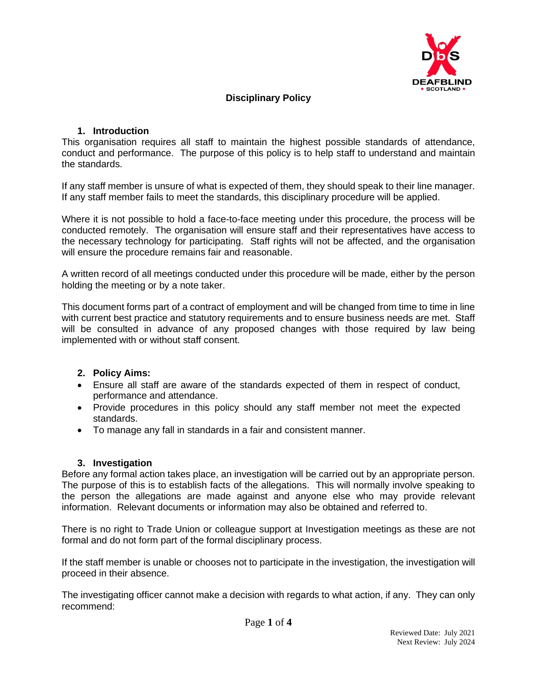

# **Disciplinary Policy**

#### **1. Introduction**

This organisation requires all staff to maintain the highest possible standards of attendance, conduct and performance. The purpose of this policy is to help staff to understand and maintain the standards.

If any staff member is unsure of what is expected of them, they should speak to their line manager. If any staff member fails to meet the standards, this disciplinary procedure will be applied.

Where it is not possible to hold a face-to-face meeting under this procedure, the process will be conducted remotely. The organisation will ensure staff and their representatives have access to the necessary technology for participating. Staff rights will not be affected, and the organisation will ensure the procedure remains fair and reasonable.

A written record of all meetings conducted under this procedure will be made, either by the person holding the meeting or by a note taker.

This document forms part of a contract of employment and will be changed from time to time in line with current best practice and statutory requirements and to ensure business needs are met. Staff will be consulted in advance of any proposed changes with those required by law being implemented with or without staff consent.

#### **2. Policy Aims:**

- Ensure all staff are aware of the standards expected of them in respect of conduct, performance and attendance.
- Provide procedures in this policy should any staff member not meet the expected standards.
- To manage any fall in standards in a fair and consistent manner.

# **3. Investigation**

Before any formal action takes place, an investigation will be carried out by an appropriate person. The purpose of this is to establish facts of the allegations. This will normally involve speaking to the person the allegations are made against and anyone else who may provide relevant information. Relevant documents or information may also be obtained and referred to.

There is no right to Trade Union or colleague support at Investigation meetings as these are not formal and do not form part of the formal disciplinary process.

If the staff member is unable or chooses not to participate in the investigation, the investigation will proceed in their absence.

The investigating officer cannot make a decision with regards to what action, if any. They can only recommend: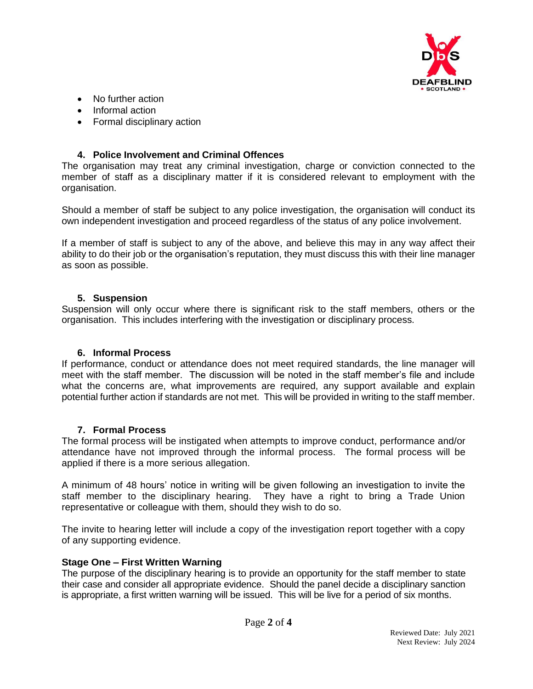

- No further action
- Informal action
- Formal disciplinary action

### **4. Police Involvement and Criminal Offences**

The organisation may treat any criminal investigation, charge or conviction connected to the member of staff as a disciplinary matter if it is considered relevant to employment with the organisation.

Should a member of staff be subject to any police investigation, the organisation will conduct its own independent investigation and proceed regardless of the status of any police involvement.

If a member of staff is subject to any of the above, and believe this may in any way affect their ability to do their job or the organisation's reputation, they must discuss this with their line manager as soon as possible.

#### **5. Suspension**

Suspension will only occur where there is significant risk to the staff members, others or the organisation. This includes interfering with the investigation or disciplinary process.

#### **6. Informal Process**

If performance, conduct or attendance does not meet required standards, the line manager will meet with the staff member. The discussion will be noted in the staff member's file and include what the concerns are, what improvements are required, any support available and explain potential further action if standards are not met. This will be provided in writing to the staff member.

#### **7. Formal Process**

The formal process will be instigated when attempts to improve conduct, performance and/or attendance have not improved through the informal process. The formal process will be applied if there is a more serious allegation.

A minimum of 48 hours' notice in writing will be given following an investigation to invite the staff member to the disciplinary hearing. They have a right to bring a Trade Union representative or colleague with them, should they wish to do so.

The invite to hearing letter will include a copy of the investigation report together with a copy of any supporting evidence.

#### **Stage One – First Written Warning**

The purpose of the disciplinary hearing is to provide an opportunity for the staff member to state their case and consider all appropriate evidence. Should the panel decide a disciplinary sanction is appropriate, a first written warning will be issued. This will be live for a period of six months.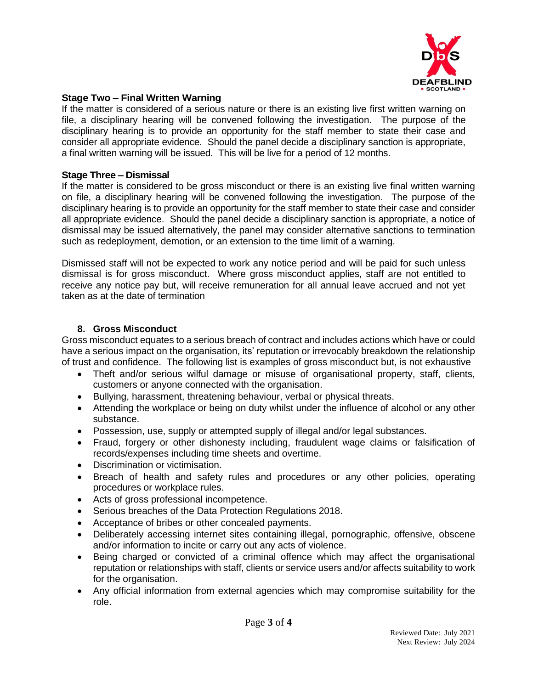

### **Stage Two – Final Written Warning**

If the matter is considered of a serious nature or there is an existing live first written warning on file, a disciplinary hearing will be convened following the investigation. The purpose of the disciplinary hearing is to provide an opportunity for the staff member to state their case and consider all appropriate evidence. Should the panel decide a disciplinary sanction is appropriate, a final written warning will be issued. This will be live for a period of 12 months.

#### **Stage Three – Dismissal**

If the matter is considered to be gross misconduct or there is an existing live final written warning on file, a disciplinary hearing will be convened following the investigation. The purpose of the disciplinary hearing is to provide an opportunity for the staff member to state their case and consider all appropriate evidence. Should the panel decide a disciplinary sanction is appropriate, a notice of dismissal may be issued alternatively, the panel may consider alternative sanctions to termination such as redeployment, demotion, or an extension to the time limit of a warning.

Dismissed staff will not be expected to work any notice period and will be paid for such unless dismissal is for gross misconduct. Where gross misconduct applies, staff are not entitled to receive any notice pay but, will receive remuneration for all annual leave accrued and not yet taken as at the date of termination

# **8. Gross Misconduct**

Gross misconduct equates to a serious breach of contract and includes actions which have or could have a serious impact on the organisation, its' reputation or irrevocably breakdown the relationship of trust and confidence. The following list is examples of gross misconduct but, is not exhaustive

- Theft and/or serious wilful damage or misuse of organisational property, staff, clients, customers or anyone connected with the organisation.
- Bullying, harassment, threatening behaviour, verbal or physical threats.
- Attending the workplace or being on duty whilst under the influence of alcohol or any other substance.
- Possession, use, supply or attempted supply of illegal and/or legal substances.
- Fraud, forgery or other dishonesty including, fraudulent wage claims or falsification of records/expenses including time sheets and overtime.
- Discrimination or victimisation.
- Breach of health and safety rules and procedures or any other policies, operating procedures or workplace rules.
- Acts of gross professional incompetence.
- Serious breaches of the Data Protection Regulations 2018.
- Acceptance of bribes or other concealed payments.
- Deliberately accessing internet sites containing illegal, pornographic, offensive, obscene and/or information to incite or carry out any acts of violence.
- Being charged or convicted of a criminal offence which may affect the organisational reputation or relationships with staff, clients or service users and/or affects suitability to work for the organisation.
- Any official information from external agencies which may compromise suitability for the role.